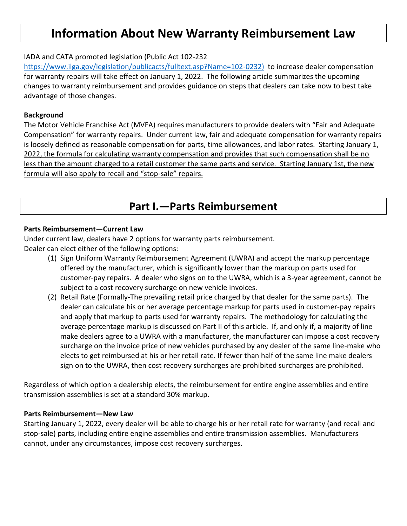# **Information About New Warranty Reimbursement Law**

## IADA and CATA promoted legislation (Public Act 102-232

[https://www.ilga.gov/legislation/publicacts/fulltext.asp?Name=102-0232\)](https://www.ilga.gov/legislation/publicacts/fulltext.asp?Name=102-0232) to increase dealer compensation for warranty repairs will take effect on January 1, 2022. The following article summarizes the upcoming changes to warranty reimbursement and provides guidance on steps that dealers can take now to best take advantage of those changes.

## **Background**

The Motor Vehicle Franchise Act (MVFA) requires manufacturers to provide dealers with "Fair and Adequate Compensation" for warranty repairs. Under current law, fair and adequate compensation for warranty repairs is loosely defined as reasonable compensation for parts, time allowances, and labor rates. Starting January  $1<sub>i</sub>$ 2022, the formula for calculating warranty compensation and provides that such compensation shall be no less than the amount charged to a retail customer the same parts and service. Starting January 1st, the new formula will also apply to recall and "stop-sale" repairs.

# **Part I.—Parts Reimbursement**

#### **Parts Reimbursement—Current Law**

Under current law, dealers have 2 options for warranty parts reimbursement.

- Dealer can elect either of the following options:
	- (1) Sign Uniform Warranty Reimbursement Agreement (UWRA) and accept the markup percentage offered by the manufacturer, which is significantly lower than the markup on parts used for customer-pay repairs. A dealer who signs on to the UWRA, which is a 3-year agreement, cannot be subject to a cost recovery surcharge on new vehicle invoices.
	- (2) Retail Rate (Formally-The prevailing retail price charged by that dealer for the same parts). The dealer can calculate his or her average percentage markup for parts used in customer-pay repairs and apply that markup to parts used for warranty repairs. The methodology for calculating the average percentage markup is discussed on Part II of this article. If, and only if, a majority of line make dealers agree to a UWRA with a manufacturer, the manufacturer can impose a cost recovery surcharge on the invoice price of new vehicles purchased by any dealer of the same line-make who elects to get reimbursed at his or her retail rate. If fewer than half of the same line make dealers sign on to the UWRA, then cost recovery surcharges are prohibited surcharges are prohibited.

Regardless of which option a dealership elects, the reimbursement for entire engine assemblies and entire transmission assemblies is set at a standard 30% markup.

#### **Parts Reimbursement—New Law**

Starting January 1, 2022, every dealer will be able to charge his or her retail rate for warranty (and recall and stop-sale) parts, including entire engine assemblies and entire transmission assemblies. Manufacturers cannot, under any circumstances, impose cost recovery surcharges.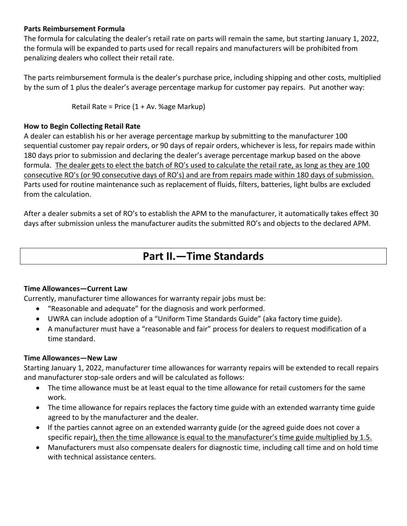## **Parts Reimbursement Formula**

The formula for calculating the dealer's retail rate on parts will remain the same, but starting January 1, 2022, the formula will be expanded to parts used for recall repairs and manufacturers will be prohibited from penalizing dealers who collect their retail rate.

The parts reimbursement formula is the dealer's purchase price, including shipping and other costs, multiplied by the sum of 1 plus the dealer's average percentage markup for customer pay repairs. Put another way:

Retail Rate = Price (1 + Av. %age Markup)

#### **How to Begin Collecting Retail Rate**

A dealer can establish his or her average percentage markup by submitting to the manufacturer 100 sequential customer pay repair orders, or 90 days of repair orders, whichever is less, for repairs made within 180 days prior to submission and declaring the dealer's average percentage markup based on the above formula. The dealer gets to elect the batch of RO's used to calculate the retail rate, as long as they are 100 consecutive RO's (or 90 consecutive days of RO's) and are from repairs made within 180 days of submission. Parts used for routine maintenance such as replacement of fluids, filters, batteries, light bulbs are excluded from the calculation.

After a dealer submits a set of RO's to establish the APM to the manufacturer, it automatically takes effect 30 days after submission unless the manufacturer audits the submitted RO's and objects to the declared APM.

# **Part II.—Time Standards**

## **Time Allowances—Current Law**

Currently, manufacturer time allowances for warranty repair jobs must be:

- "Reasonable and adequate" for the diagnosis and work performed.
- UWRA can include adoption of a "Uniform Time Standards Guide" (aka factory time guide).
- A manufacturer must have a "reasonable and fair" process for dealers to request modification of a time standard.

### **Time Allowances—New Law**

Starting January 1, 2022, manufacturer time allowances for warranty repairs will be extended to recall repairs and manufacturer stop-sale orders and will be calculated as follows:

- The time allowance must be at least equal to the time allowance for retail customers for the same work.
- The time allowance for repairs replaces the factory time guide with an extended warranty time guide agreed to by the manufacturer and the dealer.
- If the parties cannot agree on an extended warranty guide (or the agreed guide does not cover a specific repair), then the time allowance is equal to the manufacturer's time guide multiplied by 1.5.
- Manufacturers must also compensate dealers for diagnostic time, including call time and on hold time with technical assistance centers.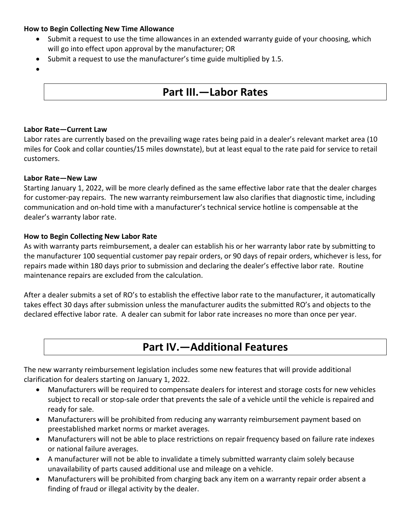### **How to Begin Collecting New Time Allowance**

- Submit a request to use the time allowances in an extended warranty guide of your choosing, which will go into effect upon approval by the manufacturer; OR
- Submit a request to use the manufacturer's time guide multiplied by 1.5.
- •

# **Part III.—Labor Rates**

#### **Labor Rate—Current Law**

Labor rates are currently based on the prevailing wage rates being paid in a dealer's relevant market area (10 miles for Cook and collar counties/15 miles downstate), but at least equal to the rate paid for service to retail customers.

#### **Labor Rate—New Law**

Starting January 1, 2022, will be more clearly defined as the same effective labor rate that the dealer charges for customer-pay repairs. The new warranty reimbursement law also clarifies that diagnostic time, including communication and on-hold time with a manufacturer's technical service hotline is compensable at the dealer's warranty labor rate.

### **How to Begin Collecting New Labor Rate**

As with warranty parts reimbursement, a dealer can establish his or her warranty labor rate by submitting to the manufacturer 100 sequential customer pay repair orders, or 90 days of repair orders, whichever is less, for repairs made within 180 days prior to submission and declaring the dealer's effective labor rate. Routine maintenance repairs are excluded from the calculation.

After a dealer submits a set of RO's to establish the effective labor rate to the manufacturer, it automatically takes effect 30 days after submission unless the manufacturer audits the submitted RO's and objects to the declared effective labor rate. A dealer can submit for labor rate increases no more than once per year.

# **Part IV.—Additional Features**

The new warranty reimbursement legislation includes some new features that will provide additional clarification for dealers starting on January 1, 2022.

- Manufacturers will be required to compensate dealers for interest and storage costs for new vehicles subject to recall or stop-sale order that prevents the sale of a vehicle until the vehicle is repaired and ready for sale.
- Manufacturers will be prohibited from reducing any warranty reimbursement payment based on preestablished market norms or market averages.
- Manufacturers will not be able to place restrictions on repair frequency based on failure rate indexes or national failure averages.
- A manufacturer will not be able to invalidate a timely submitted warranty claim solely because unavailability of parts caused additional use and mileage on a vehicle.
- Manufacturers will be prohibited from charging back any item on a warranty repair order absent a finding of fraud or illegal activity by the dealer.